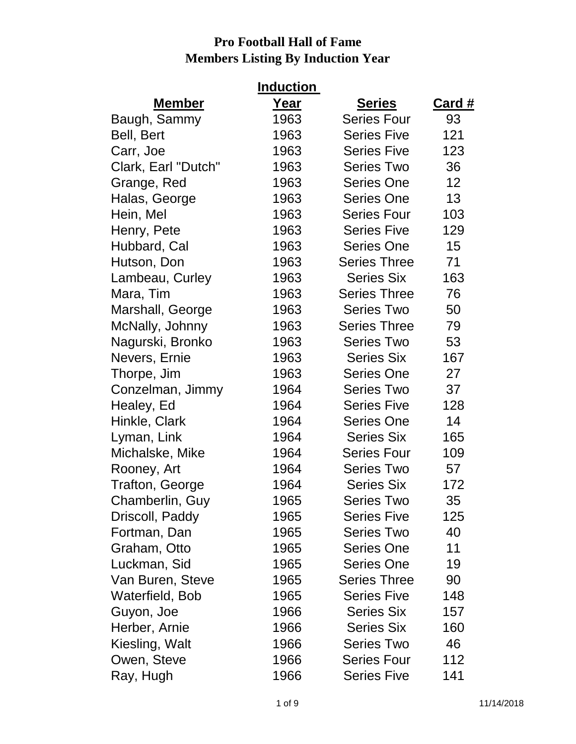| <b>Induction</b>       |      |                     |               |  |
|------------------------|------|---------------------|---------------|--|
| <b>Member</b>          | Year | <b>Series</b>       | <u>Card #</u> |  |
| Baugh, Sammy           | 1963 | <b>Series Four</b>  | 93            |  |
| Bell, Bert             | 1963 | <b>Series Five</b>  | 121           |  |
| Carr, Joe              | 1963 | <b>Series Five</b>  | 123           |  |
| Clark, Earl "Dutch"    | 1963 | <b>Series Two</b>   | 36            |  |
| Grange, Red            | 1963 | <b>Series One</b>   | 12            |  |
| Halas, George          | 1963 | <b>Series One</b>   | 13            |  |
| Hein, Mel              | 1963 | <b>Series Four</b>  | 103           |  |
| Henry, Pete            | 1963 | <b>Series Five</b>  | 129           |  |
| Hubbard, Cal           | 1963 | <b>Series One</b>   | 15            |  |
| Hutson, Don            | 1963 | <b>Series Three</b> | 71            |  |
| Lambeau, Curley        | 1963 | <b>Series Six</b>   | 163           |  |
| Mara, Tim              | 1963 | <b>Series Three</b> | 76            |  |
| Marshall, George       | 1963 | <b>Series Two</b>   | 50            |  |
| McNally, Johnny        | 1963 | <b>Series Three</b> | 79            |  |
| Nagurski, Bronko       | 1963 | <b>Series Two</b>   | 53            |  |
| Nevers, Ernie          | 1963 | <b>Series Six</b>   | 167           |  |
| Thorpe, Jim            | 1963 | <b>Series One</b>   | 27            |  |
| Conzelman, Jimmy       | 1964 | <b>Series Two</b>   | 37            |  |
| Healey, Ed             | 1964 | <b>Series Five</b>  | 128           |  |
| Hinkle, Clark          | 1964 | <b>Series One</b>   | 14            |  |
| Lyman, Link            | 1964 | <b>Series Six</b>   | 165           |  |
| Michalske, Mike        | 1964 | <b>Series Four</b>  | 109           |  |
| Rooney, Art            | 1964 | <b>Series Two</b>   | 57            |  |
| <b>Trafton, George</b> | 1964 | <b>Series Six</b>   | 172           |  |
| Chamberlin, Guy        | 1965 | <b>Series Two</b>   | 35            |  |
| Driscoll, Paddy        | 1965 | <b>Series Five</b>  | 125           |  |
| Fortman, Dan           | 1965 | <b>Series Two</b>   | 40            |  |
| Graham, Otto           | 1965 | <b>Series One</b>   | 11            |  |
| Luckman, Sid           | 1965 | <b>Series One</b>   | 19            |  |
| Van Buren, Steve       | 1965 | <b>Series Three</b> | 90            |  |
| Waterfield, Bob        | 1965 | <b>Series Five</b>  | 148           |  |
| Guyon, Joe             | 1966 | <b>Series Six</b>   | 157           |  |
| Herber, Arnie          | 1966 | <b>Series Six</b>   | 160           |  |
| Kiesling, Walt         | 1966 | <b>Series Two</b>   | 46            |  |
| Owen, Steve            | 1966 | <b>Series Four</b>  | 112           |  |
| Ray, Hugh              | 1966 | <b>Series Five</b>  | 141           |  |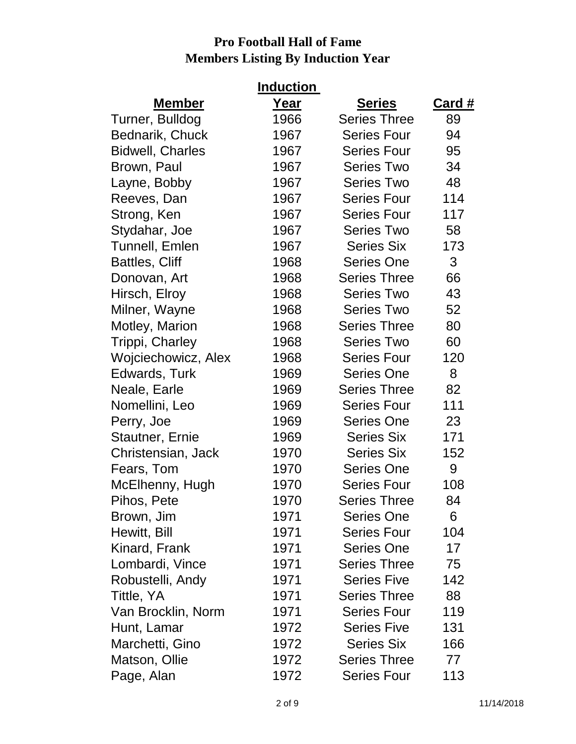| <b>Induction</b>        |      |                     |        |  |
|-------------------------|------|---------------------|--------|--|
| <b>Member</b>           | Year | <b>Series</b>       | Card # |  |
| Turner, Bulldog         | 1966 | <b>Series Three</b> | 89     |  |
| Bednarik, Chuck         | 1967 | <b>Series Four</b>  | 94     |  |
| <b>Bidwell, Charles</b> | 1967 | <b>Series Four</b>  | 95     |  |
| Brown, Paul             | 1967 | <b>Series Two</b>   | 34     |  |
| Layne, Bobby            | 1967 | <b>Series Two</b>   | 48     |  |
| Reeves, Dan             | 1967 | <b>Series Four</b>  | 114    |  |
| Strong, Ken             | 1967 | <b>Series Four</b>  | 117    |  |
| Stydahar, Joe           | 1967 | <b>Series Two</b>   | 58     |  |
| Tunnell, Emlen          | 1967 | <b>Series Six</b>   | 173    |  |
| <b>Battles, Cliff</b>   | 1968 | <b>Series One</b>   | 3      |  |
| Donovan, Art            | 1968 | <b>Series Three</b> | 66     |  |
| Hirsch, Elroy           | 1968 | <b>Series Two</b>   | 43     |  |
| Milner, Wayne           | 1968 | <b>Series Two</b>   | 52     |  |
| Motley, Marion          | 1968 | <b>Series Three</b> | 80     |  |
| Trippi, Charley         | 1968 | <b>Series Two</b>   | 60     |  |
| Wojciechowicz, Alex     | 1968 | <b>Series Four</b>  | 120    |  |
| Edwards, Turk           | 1969 | <b>Series One</b>   | 8      |  |
| Neale, Earle            | 1969 | <b>Series Three</b> | 82     |  |
| Nomellini, Leo          | 1969 | <b>Series Four</b>  | 111    |  |
| Perry, Joe              | 1969 | <b>Series One</b>   | 23     |  |
| <b>Stautner, Ernie</b>  | 1969 | <b>Series Six</b>   | 171    |  |
| Christensian, Jack      | 1970 | <b>Series Six</b>   | 152    |  |
| Fears, Tom              | 1970 | <b>Series One</b>   | 9      |  |
| McElhenny, Hugh         | 1970 | <b>Series Four</b>  | 108    |  |
| Pihos, Pete             | 1970 | <b>Series Three</b> | 84     |  |
| Brown, Jim              | 1971 | <b>Series One</b>   | 6      |  |
| Hewitt, Bill            | 1971 | <b>Series Four</b>  | 104    |  |
| Kinard, Frank           | 1971 | <b>Series One</b>   | 17     |  |
| Lombardi, Vince         | 1971 | <b>Series Three</b> | 75     |  |
| Robustelli, Andy        | 1971 | <b>Series Five</b>  | 142    |  |
| Tittle, YA              | 1971 | <b>Series Three</b> | 88     |  |
| Van Brocklin, Norm      | 1971 | <b>Series Four</b>  | 119    |  |
| Hunt, Lamar             | 1972 | <b>Series Five</b>  | 131    |  |
| Marchetti, Gino         | 1972 | <b>Series Six</b>   | 166    |  |
| Matson, Ollie           | 1972 | <b>Series Three</b> | 77     |  |
| Page, Alan              | 1972 | <b>Series Four</b>  | 113    |  |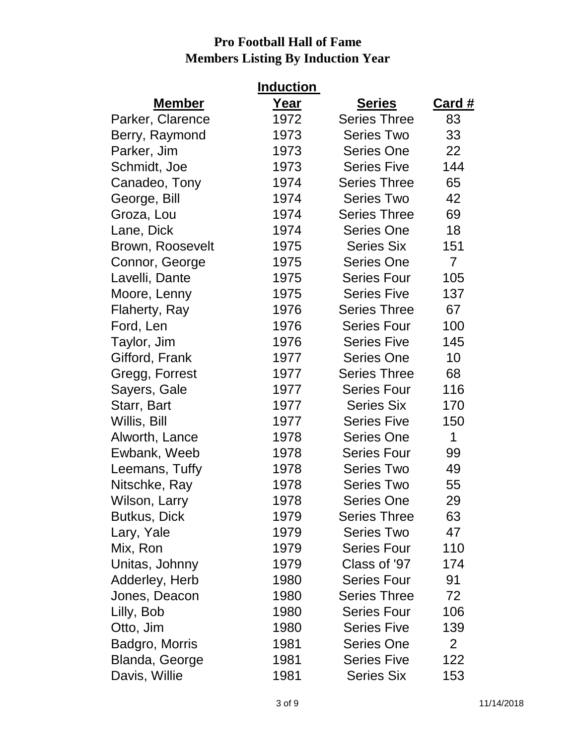| <b>Induction</b> |      |                     |                |  |
|------------------|------|---------------------|----------------|--|
| <b>Member</b>    | Year | <b>Series</b>       | <b>Card #</b>  |  |
| Parker, Clarence | 1972 | <b>Series Three</b> | 83             |  |
| Berry, Raymond   | 1973 | <b>Series Two</b>   | 33             |  |
| Parker, Jim      | 1973 | <b>Series One</b>   | 22             |  |
| Schmidt, Joe     | 1973 | <b>Series Five</b>  | 144            |  |
| Canadeo, Tony    | 1974 | <b>Series Three</b> | 65             |  |
| George, Bill     | 1974 | <b>Series Two</b>   | 42             |  |
| Groza, Lou       | 1974 | <b>Series Three</b> | 69             |  |
| Lane, Dick       | 1974 | <b>Series One</b>   | 18             |  |
| Brown, Roosevelt | 1975 | <b>Series Six</b>   | 151            |  |
| Connor, George   | 1975 | <b>Series One</b>   | $\overline{7}$ |  |
| Lavelli, Dante   | 1975 | <b>Series Four</b>  | 105            |  |
| Moore, Lenny     | 1975 | <b>Series Five</b>  | 137            |  |
| Flaherty, Ray    | 1976 | <b>Series Three</b> | 67             |  |
| Ford, Len        | 1976 | <b>Series Four</b>  | 100            |  |
| Taylor, Jim      | 1976 | <b>Series Five</b>  | 145            |  |
| Gifford, Frank   | 1977 | <b>Series One</b>   | 10             |  |
| Gregg, Forrest   | 1977 | <b>Series Three</b> | 68             |  |
| Sayers, Gale     | 1977 | <b>Series Four</b>  | 116            |  |
| Starr, Bart      | 1977 | <b>Series Six</b>   | 170            |  |
| Willis, Bill     | 1977 | <b>Series Five</b>  | 150            |  |
| Alworth, Lance   | 1978 | <b>Series One</b>   | 1              |  |
| Ewbank, Weeb     | 1978 | <b>Series Four</b>  | 99             |  |
| Leemans, Tuffy   | 1978 | <b>Series Two</b>   | 49             |  |
| Nitschke, Ray    | 1978 | <b>Series Two</b>   | 55             |  |
| Wilson, Larry    | 1978 | <b>Series One</b>   | 29             |  |
| Butkus, Dick     | 1979 | <b>Series Three</b> | 63             |  |
| Lary, Yale       | 1979 | <b>Series Two</b>   | 47             |  |
| Mix, Ron         | 1979 | <b>Series Four</b>  | 110            |  |
| Unitas, Johnny   | 1979 | Class of '97        | 174            |  |
| Adderley, Herb   | 1980 | <b>Series Four</b>  | 91             |  |
| Jones, Deacon    | 1980 | <b>Series Three</b> | 72             |  |
| Lilly, Bob       | 1980 | <b>Series Four</b>  | 106            |  |
| Otto, Jim        | 1980 | <b>Series Five</b>  | 139            |  |
| Badgro, Morris   | 1981 | <b>Series One</b>   | $\overline{2}$ |  |
| Blanda, George   | 1981 | <b>Series Five</b>  | 122            |  |
| Davis, Willie    | 1981 | <b>Series Six</b>   | 153            |  |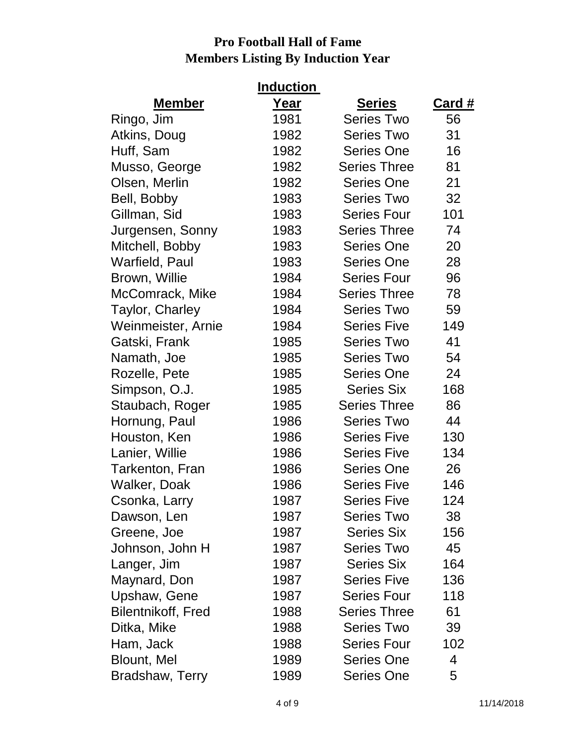| <b>Induction</b>          |      |                     |        |  |
|---------------------------|------|---------------------|--------|--|
| <b>Member</b>             | Year | <b>Series</b>       | Card # |  |
| Ringo, Jim                | 1981 | <b>Series Two</b>   | 56     |  |
| Atkins, Doug              | 1982 | <b>Series Two</b>   | 31     |  |
| Huff, Sam                 | 1982 | <b>Series One</b>   | 16     |  |
| Musso, George             | 1982 | <b>Series Three</b> | 81     |  |
| Olsen, Merlin             | 1982 | <b>Series One</b>   | 21     |  |
| Bell, Bobby               | 1983 | <b>Series Two</b>   | 32     |  |
| Gillman, Sid              | 1983 | <b>Series Four</b>  | 101    |  |
| Jurgensen, Sonny          | 1983 | <b>Series Three</b> | 74     |  |
| Mitchell, Bobby           | 1983 | <b>Series One</b>   | 20     |  |
| Warfield, Paul            | 1983 | <b>Series One</b>   | 28     |  |
| Brown, Willie             | 1984 | <b>Series Four</b>  | 96     |  |
| McComrack, Mike           | 1984 | <b>Series Three</b> | 78     |  |
| Taylor, Charley           | 1984 | <b>Series Two</b>   | 59     |  |
| Weinmeister, Arnie        | 1984 | <b>Series Five</b>  | 149    |  |
| Gatski, Frank             | 1985 | <b>Series Two</b>   | 41     |  |
| Namath, Joe               | 1985 | <b>Series Two</b>   | 54     |  |
| Rozelle, Pete             | 1985 | <b>Series One</b>   | 24     |  |
| Simpson, O.J.             | 1985 | <b>Series Six</b>   | 168    |  |
| Staubach, Roger           | 1985 | <b>Series Three</b> | 86     |  |
| Hornung, Paul             | 1986 | <b>Series Two</b>   | 44     |  |
| Houston, Ken              | 1986 | <b>Series Five</b>  | 130    |  |
| Lanier, Willie            | 1986 | <b>Series Five</b>  | 134    |  |
| Tarkenton, Fran           | 1986 | <b>Series One</b>   | 26     |  |
| Walker, Doak              | 1986 | <b>Series Five</b>  | 146    |  |
| Csonka, Larry             | 1987 | <b>Series Five</b>  | 124    |  |
| Dawson, Len               | 1987 | <b>Series Two</b>   | 38     |  |
| Greene, Joe               | 1987 | <b>Series Six</b>   | 156    |  |
| Johnson, John H           | 1987 | <b>Series Two</b>   | 45     |  |
| Langer, Jim               | 1987 | <b>Series Six</b>   | 164    |  |
| Maynard, Don              | 1987 | <b>Series Five</b>  | 136    |  |
| Upshaw, Gene              | 1987 | <b>Series Four</b>  | 118    |  |
| <b>Bilentnikoff, Fred</b> | 1988 | <b>Series Three</b> | 61     |  |
| Ditka, Mike               | 1988 | <b>Series Two</b>   | 39     |  |
| Ham, Jack                 | 1988 | <b>Series Four</b>  | 102    |  |
| <b>Blount, Mel</b>        | 1989 | <b>Series One</b>   | 4      |  |
| <b>Bradshaw, Terry</b>    | 1989 | <b>Series One</b>   | 5      |  |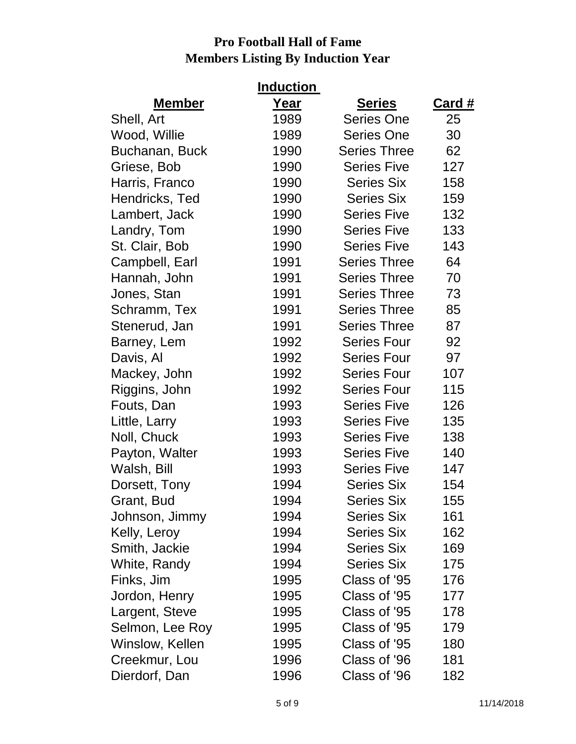| <b>Induction</b> |      |                     |               |  |
|------------------|------|---------------------|---------------|--|
| <b>Member</b>    | Year | <b>Series</b>       | <u>Card #</u> |  |
| Shell, Art       | 1989 | <b>Series One</b>   | 25            |  |
| Wood, Willie     | 1989 | <b>Series One</b>   | 30            |  |
| Buchanan, Buck   | 1990 | <b>Series Three</b> | 62            |  |
| Griese, Bob      | 1990 | <b>Series Five</b>  | 127           |  |
| Harris, Franco   | 1990 | <b>Series Six</b>   | 158           |  |
| Hendricks, Ted   | 1990 | <b>Series Six</b>   | 159           |  |
| Lambert, Jack    | 1990 | <b>Series Five</b>  | 132           |  |
| Landry, Tom      | 1990 | <b>Series Five</b>  | 133           |  |
| St. Clair, Bob   | 1990 | <b>Series Five</b>  | 143           |  |
| Campbell, Earl   | 1991 | <b>Series Three</b> | 64            |  |
| Hannah, John     | 1991 | <b>Series Three</b> | 70            |  |
| Jones, Stan      | 1991 | <b>Series Three</b> | 73            |  |
| Schramm, Tex     | 1991 | <b>Series Three</b> | 85            |  |
| Stenerud, Jan    | 1991 | <b>Series Three</b> | 87            |  |
| Barney, Lem      | 1992 | <b>Series Four</b>  | 92            |  |
| Davis, Al        | 1992 | <b>Series Four</b>  | 97            |  |
| Mackey, John     | 1992 | <b>Series Four</b>  | 107           |  |
| Riggins, John    | 1992 | <b>Series Four</b>  | 115           |  |
| Fouts, Dan       | 1993 | <b>Series Five</b>  | 126           |  |
| Little, Larry    | 1993 | <b>Series Five</b>  | 135           |  |
| Noll, Chuck      | 1993 | <b>Series Five</b>  | 138           |  |
| Payton, Walter   | 1993 | <b>Series Five</b>  | 140           |  |
| Walsh, Bill      | 1993 | <b>Series Five</b>  | 147           |  |
| Dorsett, Tony    | 1994 | <b>Series Six</b>   | 154           |  |
| Grant, Bud       | 1994 | <b>Series Six</b>   | 155           |  |
| Johnson, Jimmy   | 1994 | <b>Series Six</b>   | 161           |  |
| Kelly, Leroy     | 1994 | <b>Series Six</b>   | 162           |  |
| Smith, Jackie    | 1994 | <b>Series Six</b>   | 169           |  |
| White, Randy     | 1994 | <b>Series Six</b>   | 175           |  |
| Finks, Jim       | 1995 | Class of '95        | 176           |  |
| Jordon, Henry    | 1995 | Class of '95        | 177           |  |
| Largent, Steve   | 1995 | Class of '95        | 178           |  |
| Selmon, Lee Roy  | 1995 | Class of '95        | 179           |  |
| Winslow, Kellen  | 1995 | Class of '95        | 180           |  |
| Creekmur, Lou    | 1996 | Class of '96        | 181           |  |
| Dierdorf, Dan    | 1996 | Class of '96        | 182           |  |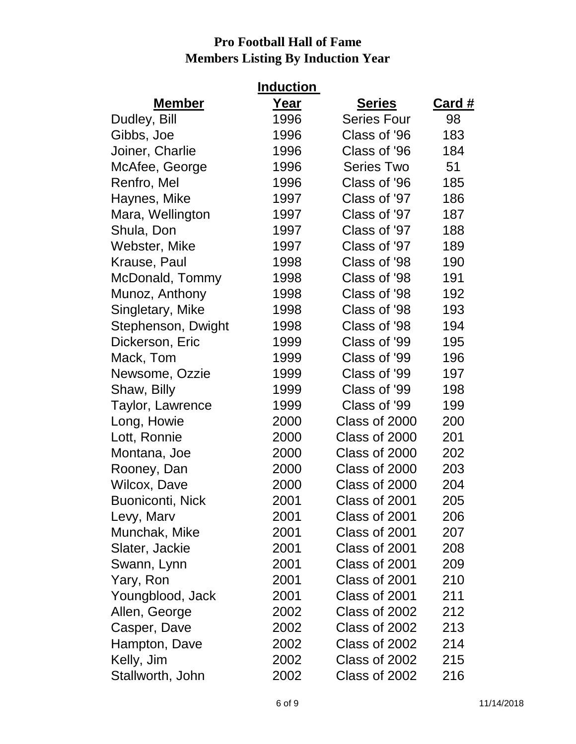| <b>Induction</b>        |      |                    |               |  |
|-------------------------|------|--------------------|---------------|--|
| <b>Member</b>           | Year | <b>Series</b>      | <b>Card #</b> |  |
| Dudley, Bill            | 1996 | <b>Series Four</b> | 98            |  |
| Gibbs, Joe              | 1996 | Class of '96       | 183           |  |
| Joiner, Charlie         | 1996 | Class of '96       | 184           |  |
| McAfee, George          | 1996 | <b>Series Two</b>  | 51            |  |
| Renfro, Mel             | 1996 | Class of '96       | 185           |  |
| Haynes, Mike            | 1997 | Class of '97       | 186           |  |
| Mara, Wellington        | 1997 | Class of '97       | 187           |  |
| Shula, Don              | 1997 | Class of '97       | 188           |  |
| Webster, Mike           | 1997 | Class of '97       | 189           |  |
| Krause, Paul            | 1998 | Class of '98       | 190           |  |
| McDonald, Tommy         | 1998 | Class of '98       | 191           |  |
| Munoz, Anthony          | 1998 | Class of '98       | 192           |  |
| Singletary, Mike        | 1998 | Class of '98       | 193           |  |
| Stephenson, Dwight      | 1998 | Class of '98       | 194           |  |
| Dickerson, Eric         | 1999 | Class of '99       | 195           |  |
| Mack, Tom               | 1999 | Class of '99       | 196           |  |
| Newsome, Ozzie          | 1999 | Class of '99       | 197           |  |
| Shaw, Billy             | 1999 | Class of '99       | 198           |  |
| Taylor, Lawrence        | 1999 | Class of '99       | 199           |  |
| Long, Howie             | 2000 | Class of 2000      | 200           |  |
| Lott, Ronnie            | 2000 | Class of 2000      | 201           |  |
| Montana, Joe            | 2000 | Class of 2000      | 202           |  |
| Rooney, Dan             | 2000 | Class of 2000      | 203           |  |
| Wilcox, Dave            | 2000 | Class of 2000      | 204           |  |
| <b>Buoniconti, Nick</b> | 2001 | Class of 2001      | 205           |  |
| Levy, Marv              | 2001 | Class of 2001      | 206           |  |
| Munchak, Mike           | 2001 | Class of 2001      | 207           |  |
| Slater, Jackie          | 2001 | Class of 2001      | 208           |  |
| Swann, Lynn             | 2001 | Class of 2001      | 209           |  |
| Yary, Ron               | 2001 | Class of 2001      | 210           |  |
| Youngblood, Jack        | 2001 | Class of 2001      | 211           |  |
| Allen, George           | 2002 | Class of 2002      | 212           |  |
| Casper, Dave            | 2002 | Class of 2002      | 213           |  |
| Hampton, Dave           | 2002 | Class of 2002      | 214           |  |
| Kelly, Jim              | 2002 | Class of 2002      | 215           |  |
| Stallworth, John        | 2002 | Class of 2002      | 216           |  |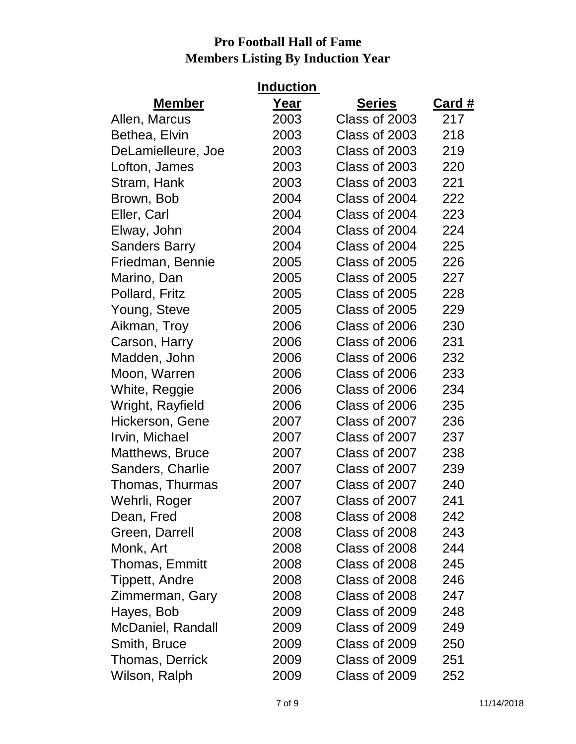|                        | <b>Induction</b> |               |               |
|------------------------|------------------|---------------|---------------|
| <b>Member</b>          | Year             | <b>Series</b> | <b>Card #</b> |
| Allen, Marcus          | 2003             | Class of 2003 | 217           |
| Bethea, Elvin          | 2003             | Class of 2003 | 218           |
| DeLamielleure, Joe     | 2003             | Class of 2003 | 219           |
| Lofton, James          | 2003             | Class of 2003 | 220           |
| Stram, Hank            | 2003             | Class of 2003 | 221           |
| Brown, Bob             | 2004             | Class of 2004 | 222           |
| Eller, Carl            | 2004             | Class of 2004 | 223           |
| Elway, John            | 2004             | Class of 2004 | 224           |
| <b>Sanders Barry</b>   | 2004             | Class of 2004 | 225           |
| Friedman, Bennie       | 2005             | Class of 2005 | 226           |
| Marino, Dan            | 2005             | Class of 2005 | 227           |
| Pollard, Fritz         | 2005             | Class of 2005 | 228           |
| Young, Steve           | 2005             | Class of 2005 | 229           |
| Aikman, Troy           | 2006             | Class of 2006 | 230           |
| Carson, Harry          | 2006             | Class of 2006 | 231           |
| Madden, John           | 2006             | Class of 2006 | 232           |
| Moon, Warren           | 2006             | Class of 2006 | 233           |
| White, Reggie          | 2006             | Class of 2006 | 234           |
| Wright, Rayfield       | 2006             | Class of 2006 | 235           |
| Hickerson, Gene        | 2007             | Class of 2007 | 236           |
| Irvin, Michael         | 2007             | Class of 2007 | 237           |
| Matthews, Bruce        | 2007             | Class of 2007 | 238           |
| Sanders, Charlie       | 2007             | Class of 2007 | 239           |
| Thomas, Thurmas        | 2007             | Class of 2007 | 240           |
| Wehrli, Roger          | 2007             | Class of 2007 | 241           |
| Dean, Fred             | 2008             | Class of 2008 | 242           |
| Green, Darrell         | 2008             | Class of 2008 | 243           |
| Monk, Art              | 2008             | Class of 2008 | 244           |
| Thomas, Emmitt         | 2008             | Class of 2008 | 245           |
| Tippett, Andre         | 2008             | Class of 2008 | 246           |
| Zimmerman, Gary        | 2008             | Class of 2008 | 247           |
| Hayes, Bob             | 2009             | Class of 2009 | 248           |
| McDaniel, Randall      | 2009             | Class of 2009 | 249           |
| Smith, Bruce           | 2009             | Class of 2009 | 250           |
| <b>Thomas, Derrick</b> | 2009             | Class of 2009 | 251           |
| Wilson, Ralph          | 2009             | Class of 2009 | 252           |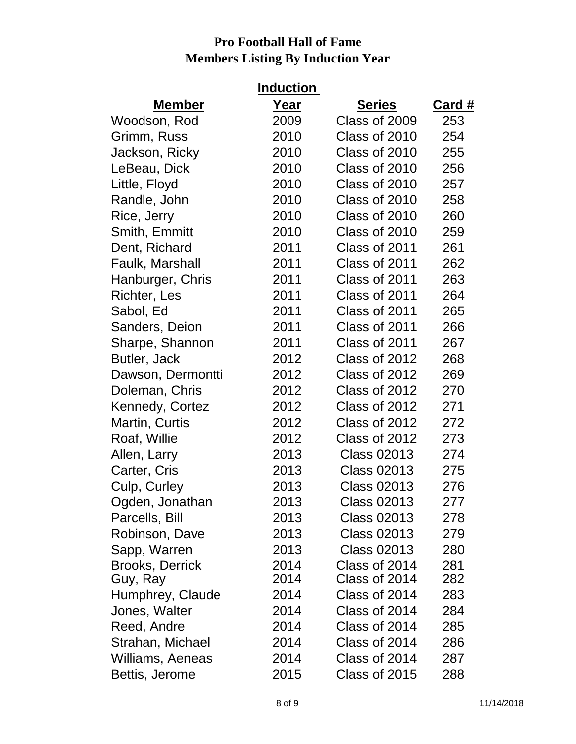| <b>Induction</b>       |      |                    |        |  |
|------------------------|------|--------------------|--------|--|
| <b>Member</b>          | Year | <b>Series</b>      | Card # |  |
| Woodson, Rod           | 2009 | Class of 2009      | 253    |  |
| Grimm, Russ            | 2010 | Class of 2010      | 254    |  |
| Jackson, Ricky         | 2010 | Class of 2010      | 255    |  |
| LeBeau, Dick           | 2010 | Class of 2010      | 256    |  |
| Little, Floyd          | 2010 | Class of 2010      | 257    |  |
| Randle, John           | 2010 | Class of 2010      | 258    |  |
| Rice, Jerry            | 2010 | Class of 2010      | 260    |  |
| Smith, Emmitt          | 2010 | Class of 2010      | 259    |  |
| Dent, Richard          | 2011 | Class of 2011      | 261    |  |
| Faulk, Marshall        | 2011 | Class of 2011      | 262    |  |
| Hanburger, Chris       | 2011 | Class of 2011      | 263    |  |
| <b>Richter, Les</b>    | 2011 | Class of 2011      | 264    |  |
| Sabol, Ed              | 2011 | Class of 2011      | 265    |  |
| Sanders, Deion         | 2011 | Class of 2011      | 266    |  |
| Sharpe, Shannon        | 2011 | Class of 2011      | 267    |  |
| Butler, Jack           | 2012 | Class of 2012      | 268    |  |
| Dawson, Dermontti      | 2012 | Class of 2012      | 269    |  |
| Doleman, Chris         | 2012 | Class of 2012      | 270    |  |
| Kennedy, Cortez        | 2012 | Class of 2012      | 271    |  |
| Martin, Curtis         | 2012 | Class of 2012      | 272    |  |
| Roaf, Willie           | 2012 | Class of 2012      | 273    |  |
| Allen, Larry           | 2013 | <b>Class 02013</b> | 274    |  |
| Carter, Cris           | 2013 | <b>Class 02013</b> | 275    |  |
| Culp, Curley           | 2013 | <b>Class 02013</b> | 276    |  |
| Ogden, Jonathan        | 2013 | <b>Class 02013</b> | 277    |  |
| Parcells, Bill         | 2013 | <b>Class 02013</b> | 278    |  |
| Robinson, Dave         | 2013 | <b>Class 02013</b> | 279    |  |
| Sapp, Warren           | 2013 | <b>Class 02013</b> | 280    |  |
| <b>Brooks, Derrick</b> | 2014 | Class of 2014      | 281    |  |
| Guy, Ray               | 2014 | Class of 2014      | 282    |  |
| Humphrey, Claude       | 2014 | Class of 2014      | 283    |  |
| Jones, Walter          | 2014 | Class of 2014      | 284    |  |
| Reed, Andre            | 2014 | Class of 2014      | 285    |  |
| Strahan, Michael       | 2014 | Class of 2014      | 286    |  |
| Williams, Aeneas       | 2014 | Class of 2014      | 287    |  |
| Bettis, Jerome         | 2015 | Class of 2015      | 288    |  |